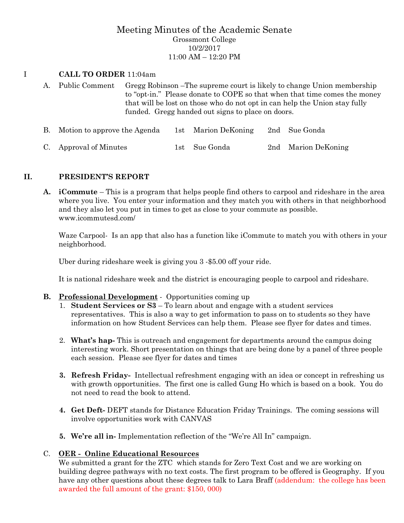# Meeting Minutes of the Academic Senate Grossmont College 10/2/2017 11:00 AM – 12:20 PM

#### I **CALL TO ORDER** 11:04am

- A. Public Comment Gregg Robinson –The supreme court is likely to change Union membership to "opt-in." Please donate to COPE so that when that time comes the money that will be lost on those who do not opt in can help the Union stay fully funded. Gregg handed out signs to place on doors.
- B. Motion to approve the Agenda 1st Marion DeKoning 2nd Sue Gonda C. Approval of Minutes 1st Sue Gonda 2nd Marion DeKoning

#### **II. PRESIDENT'S REPORT**

**A. iCommute** – This is a program that helps people find others to carpool and rideshare in the area where you live. You enter your information and they match you with others in that neighborhood and they also let you put in times to get as close to your commute as possible. www.icommutesd.com/

Waze Carpool- Is an app that also has a function like iCommute to match you with others in your neighborhood.

Uber during rideshare week is giving you 3 -\$5.00 off your ride.

It is national rideshare week and the district is encouraging people to carpool and rideshare.

#### **B. Professional Development** - Opportunities coming up

- 1. **Student Services or S3** To learn about and engage with a student services representatives. This is also a way to get information to pass on to students so they have information on how Student Services can help them. Please see flyer for dates and times.
- 2. **What's hap-** This is outreach and engagement for departments around the campus doing interesting work. Short presentation on things that are being done by a panel of three people each session. Please see flyer for dates and times
- **3. Refresh Friday-** Intellectual refreshment engaging with an idea or concept in refreshing us with growth opportunities. The first one is called Gung Ho which is based on a book. You do not need to read the book to attend.
- **4. Get Deft-** DEFT stands for Distance Education Friday Trainings. The coming sessions will involve opportunities work with CANVAS
- **5. We're all in-** Implementation reflection of the "We're All In" campaign.

#### C. **OER - Online Educational Resources**

We submitted a grant for the ZTC which stands for Zero Text Cost and we are working on building degree pathways with no text costs. The first program to be offered is Geography. If you have any other questions about these degrees talk to Lara Braff (addendum: the college has been awarded the full amount of the grant: \$150, 000)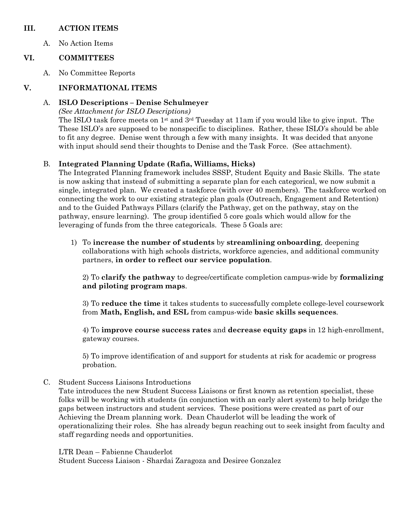#### **III. ACTION ITEMS**

A. No Action Items

# **VI. COMMITTEES**

A. No Committee Reports

# **V. INFORMATIONAL ITEMS**

### A. **ISLO Descriptions – Denise Schulmeyer**

*(See Attachment for ISLO Descriptions)*

The ISLO task force meets on 1st and 3rd Tuesday at 11am if you would like to give input. The These ISLO's are supposed to be nonspecific to disciplines. Rather, these ISLO's should be able to fit any degree. Denise went through a few with many insights. It was decided that anyone with input should send their thoughts to Denise and the Task Force. (See attachment).

# B. **Integrated Planning Update (Rafia, Williams, Hicks)**

The Integrated Planning framework includes SSSP, Student Equity and Basic Skills. The state is now asking that instead of submitting a separate plan for each categorical, we now submit a single, integrated plan. We created a taskforce (with over 40 members). The taskforce worked on connecting the work to our existing strategic plan goals (Outreach, Engagement and Retention) and to the Guided Pathways Pillars (clarify the Pathway, get on the pathway, stay on the pathway, ensure learning). The group identified 5 core goals which would allow for the leveraging of funds from the three categoricals. These 5 Goals are:

1) To **increase the number of students** by **streamlining onboarding**, deepening collaborations with high schools districts, workforce agencies, and additional community partners, **in order to reflect our service population**.

2) To **clarify the pathway** to degree/certificate completion campus-wide by **formalizing and piloting program maps**.

3) To **reduce the time** it takes students to successfully complete college-level coursework from **Math, English, and ESL** from campus-wide **basic skills sequences**.

4) To **improve course success rates** and **decrease equity gaps** in 12 high-enrollment, gateway courses.

5) To improve identification of and support for students at risk for academic or progress probation.

C. Student Success Liaisons Introductions

Tate introduces the new Student Success Liaisons or first known as retention specialist, these folks will be working with students (in conjunction with an early alert system) to help bridge the gaps between instructors and student services. These positions were created as part of our Achieving the Dream planning work. Dean Chauderlot will be leading the work of operationalizing their roles. She has already begun reaching out to seek insight from faculty and staff regarding needs and opportunities.

LTR Dean – Fabienne Chauderlot

Student Success Liaison - Shardai Zaragoza and Desiree Gonzalez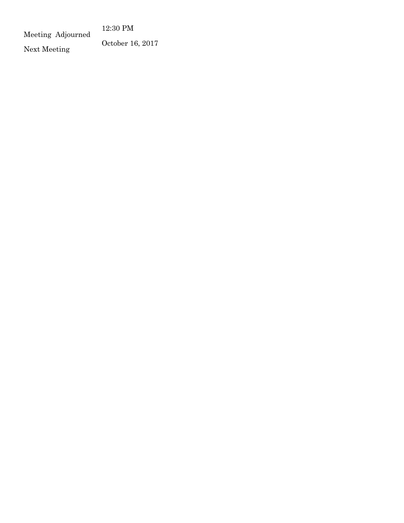12:30 PM

Meeting Adjourned

Next Meeting October 16, 2017